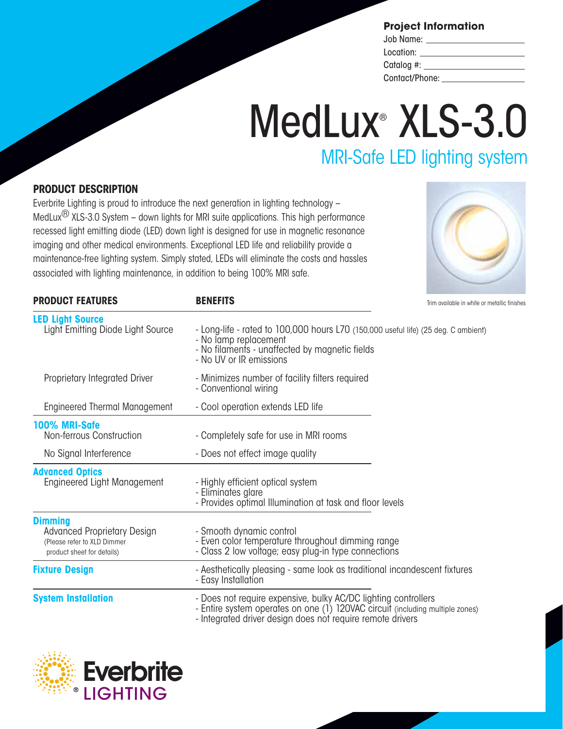|  | <b>Project Information</b> |
|--|----------------------------|
|--|----------------------------|

| Job Name:                           |  |
|-------------------------------------|--|
| Location:                           |  |
| Catalog #: $\overline{\phantom{a}}$ |  |
| Contact/Phone:                      |  |

# MedLux® XLS-3.0 MRI-Safe LED lighting system

## **PRODUCT DESCRIPTION**

**PRODUCT FEATURES**

**LED Light Source** Light Emitting Diode

Everbrite Lighting is proud to introduce the next generation in lighting technology – MedLux<sup> $\text{B}$ </sup> XLS-3.0 System – down lights for MRI suite applications. This high performance recessed light emitting diode (LED) down light is designed for use in magnetic resonance imaging and other medical environments. Exceptional LED life and reliability provide a maintenance-free lighting system. Simply stated, LEDs will eliminate the costs and hassles associated with lighting maintenance, in addition to being 100% MRI safe.

**BENEFITS**



Trim available in white or metallic finishes

| Light Source | - Long-life - rated to 100,000 hours L70 (150,000 useful life) (25 deg. C ambient)<br>- No lamp replacement<br>- No filaments - unaffected by magnetic fields<br>- No UV or IR emissions |
|--------------|------------------------------------------------------------------------------------------------------------------------------------------------------------------------------------------|
| d Driver     | - Minimizes number of facility filters required<br>- Conventional wiring                                                                                                                 |
| Management   | - Cool operation extends LED life                                                                                                                                                        |
|              |                                                                                                                                                                                          |
| ction        | - Completely safe for use in MRI rooms                                                                                                                                                   |
| æ.           | - Does not effect image quality                                                                                                                                                          |
| nagement     | - Highly efficient optical system<br>- Eliminates glare<br>- Provides optimal Illumination at task and floor levels                                                                      |
|              |                                                                                                                                                                                          |